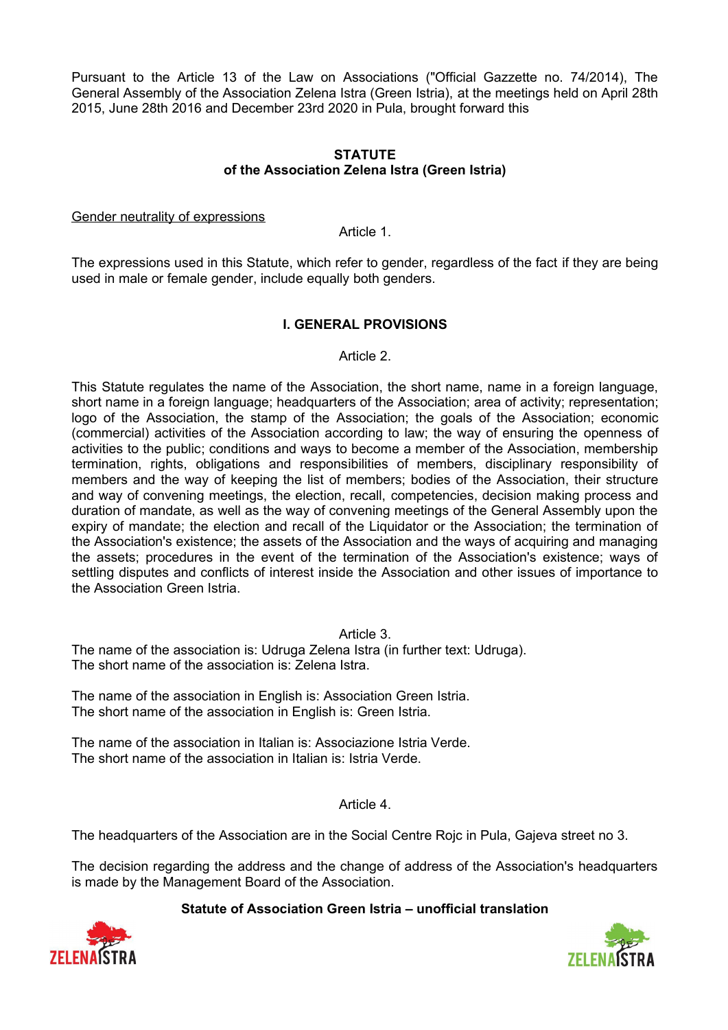Pursuant to the Article 13 of the Law on Associations ("Official Gazzette no. 74/2014), The General Assembly of the Association Zelena Istra (Green Istria), at the meetings held on April 28th 2015, June 28th 2016 and December 23rd 2020 in Pula, brought forward this

### **STATUTE of the Association Zelena Istra (Green Istria)**

#### Gender neutrality of expressions

Article 1.

The expressions used in this Statute, which refer to gender, regardless of the fact if they are being used in male or female gender, include equally both genders.

## **I. GENERAL PROVISIONS**

#### Article 2.

This Statute regulates the name of the Association, the short name, name in a foreign language, short name in a foreign language; headquarters of the Association; area of activity; representation; logo of the Association, the stamp of the Association; the goals of the Association; economic (commercial) activities of the Association according to law; the way of ensuring the openness of activities to the public; conditions and ways to become a member of the Association, membership termination, rights, obligations and responsibilities of members, disciplinary responsibility of members and the way of keeping the list of members; bodies of the Association, their structure and way of convening meetings, the election, recall, competencies, decision making process and duration of mandate, as well as the way of convening meetings of the General Assembly upon the expiry of mandate; the election and recall of the Liquidator or the Association; the termination of the Association's existence; the assets of the Association and the ways of acquiring and managing the assets; procedures in the event of the termination of the Association's existence; ways of settling disputes and conflicts of interest inside the Association and other issues of importance to the Association Green Istria.

## Article 3.

The name of the association is: Udruga Zelena Istra (in further text: Udruga). The short name of the association is: Zelena Istra.

The name of the association in English is: Association Green Istria. The short name of the association in English is: Green Istria.

The name of the association in Italian is: Associazione Istria Verde. The short name of the association in Italian is: Istria Verde.

Article 4.

The headquarters of the Association are in the Social Centre Rojc in Pula, Gajeva street no 3.

The decision regarding the address and the change of address of the Association's headquarters is made by the Management Board of the Association.



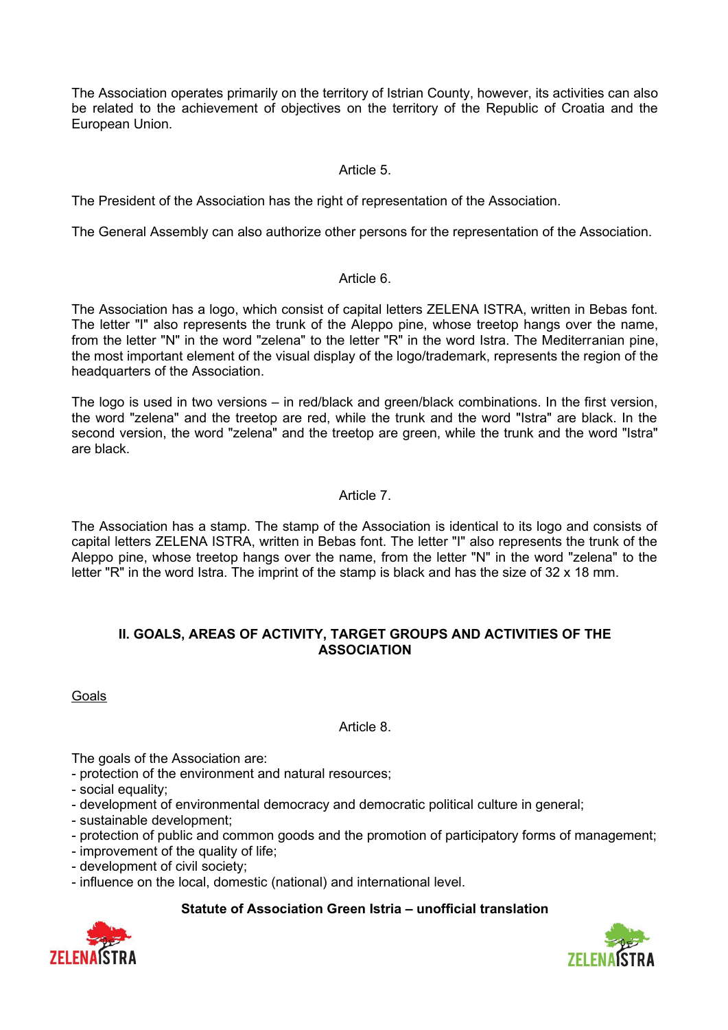The Association operates primarily on the territory of Istrian County, however, its activities can also be related to the achievement of objectives on the territory of the Republic of Croatia and the European Union.

## Article 5.

The President of the Association has the right of representation of the Association.

The General Assembly can also authorize other persons for the representation of the Association.

### Article 6.

The Association has a logo, which consist of capital letters ZELENA ISTRA, written in Bebas font. The letter "I" also represents the trunk of the Aleppo pine, whose treetop hangs over the name, from the letter "N" in the word "zelena" to the letter "R" in the word Istra. The Mediterranian pine, the most important element of the visual display of the logo/trademark, represents the region of the headquarters of the Association.

The logo is used in two versions – in red/black and green/black combinations. In the first version, the word "zelena" and the treetop are red, while the trunk and the word "Istra" are black. In the second version, the word "zelena" and the treetop are green, while the trunk and the word "Istra" are black.

# Article 7.

The Association has a stamp. The stamp of the Association is identical to its logo and consists of capital letters ZELENA ISTRA, written in Bebas font. The letter "I" also represents the trunk of the Aleppo pine, whose treetop hangs over the name, from the letter "N" in the word "zelena" to the letter "R" in the word Istra. The imprint of the stamp is black and has the size of 32 x 18 mm.

## **II. GOALS, AREAS OF ACTIVITY, TARGET GROUPS AND ACTIVITIES OF THE ASSOCIATION**

Goals

# Article 8.

The goals of the Association are:

- protection of the environment and natural resources;

- social equality;
- development of environmental democracy and democratic political culture in general;
- sustainable development;
- protection of public and common goods and the promotion of participatory forms of management;
- improvement of the quality of life;
- development of civil society;
- influence on the local, domestic (national) and international level.



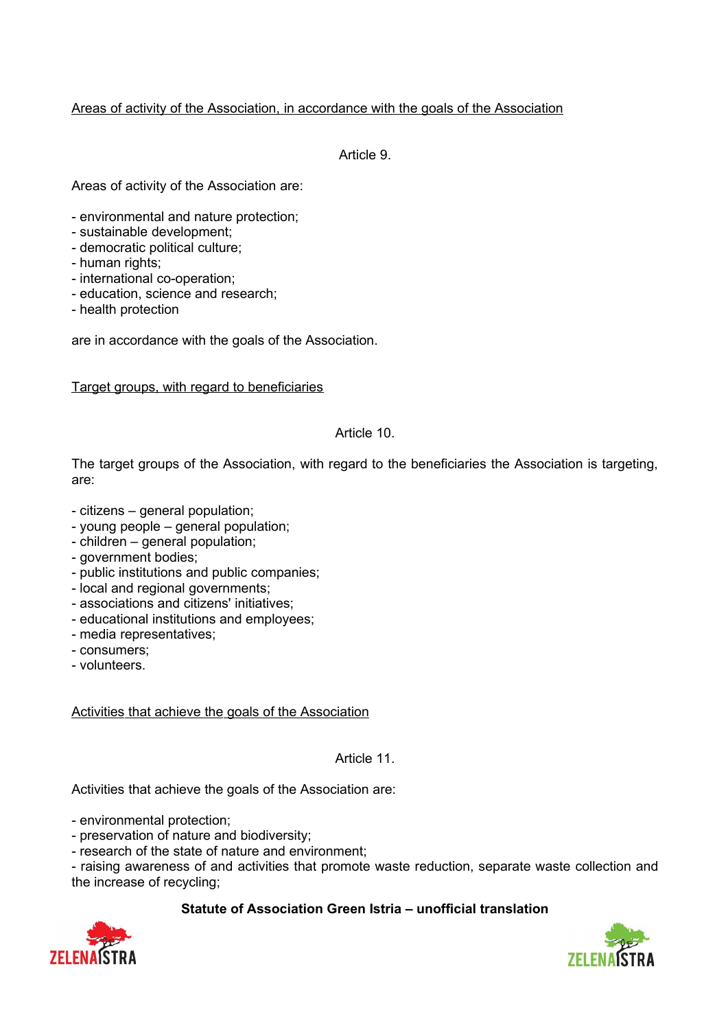## Areas of activity of the Association, in accordance with the goals of the Association

Article 9.

Areas of activity of the Association are:

- environmental and nature protection;
- sustainable development;
- democratic political culture;
- human rights;
- international co-operation;
- education, science and research;
- health protection

are in accordance with the goals of the Association.

### Target groups, with regard to beneficiaries

### Article 10.

The target groups of the Association, with regard to the beneficiaries the Association is targeting, are:

- citizens general population;
- young people general population;
- children general population;
- government bodies;
- public institutions and public companies;
- local and regional governments;
- associations and citizens' initiatives;
- educational institutions and employees;
- media representatives;
- consumers;
- volunteers.

Activities that achieve the goals of the Association

#### Article 11.

Activities that achieve the goals of the Association are:

- environmental protection;

- preservation of nature and biodiversity;
- research of the state of nature and environment;

- raising awareness of and activities that promote waste reduction, separate waste collection and the increase of recycling;



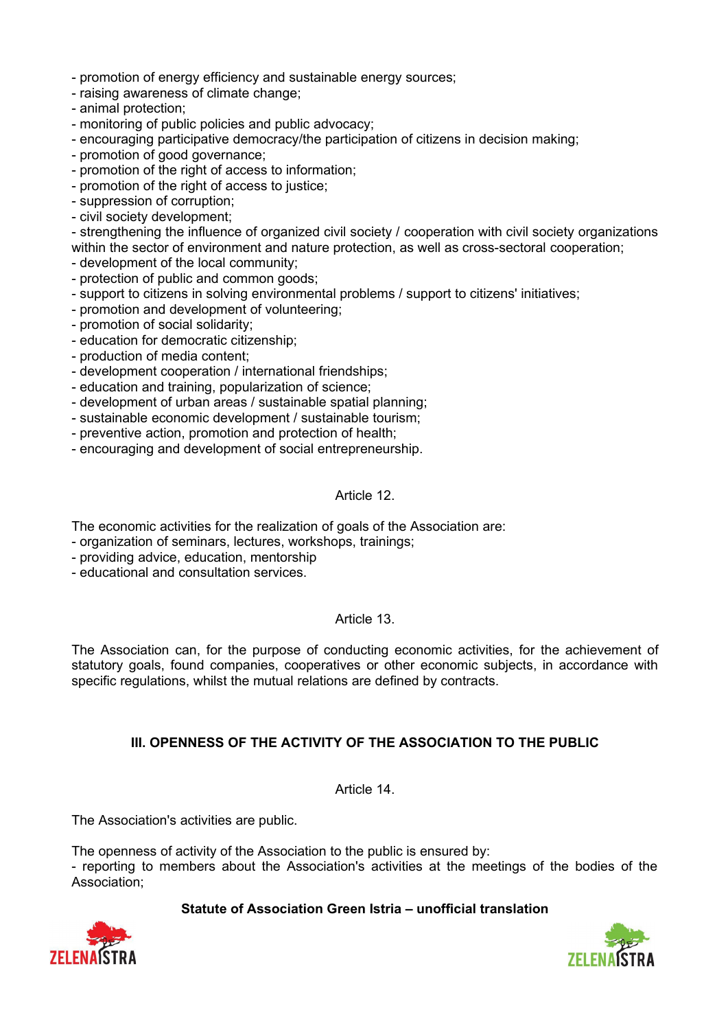- promotion of energy efficiency and sustainable energy sources;
- raising awareness of climate change;
- animal protection;
- monitoring of public policies and public advocacy;
- encouraging participative democracy/the participation of citizens in decision making;
- promotion of good governance;
- promotion of the right of access to information;
- promotion of the right of access to justice;
- suppression of corruption;
- civil society development;

- strengthening the influence of organized civil society / cooperation with civil society organizations within the sector of environment and nature protection, as well as cross-sectoral cooperation;

- development of the local community;
- protection of public and common goods;
- support to citizens in solving environmental problems / support to citizens' initiatives;
- promotion and development of volunteering;
- promotion of social solidarity;
- education for democratic citizenship;
- production of media content;
- development cooperation / international friendships;
- education and training, popularization of science;
- development of urban areas / sustainable spatial planning;
- sustainable economic development / sustainable tourism;
- preventive action, promotion and protection of health;
- encouraging and development of social entrepreneurship.

#### Article 12.

The economic activities for the realization of goals of the Association are:

- organization of seminars, lectures, workshops, trainings;
- providing advice, education, mentorship
- educational and consultation services.

### Article 13.

The Association can, for the purpose of conducting economic activities, for the achievement of statutory goals, found companies, cooperatives or other economic subjects, in accordance with specific regulations, whilst the mutual relations are defined by contracts.

### **III. OPENNESS OF THE ACTIVITY OF THE ASSOCIATION TO THE PUBLIC**

Article 14.

The Association's activities are public.

The openness of activity of the Association to the public is ensured by:

- reporting to members about the Association's activities at the meetings of the bodies of the Association;



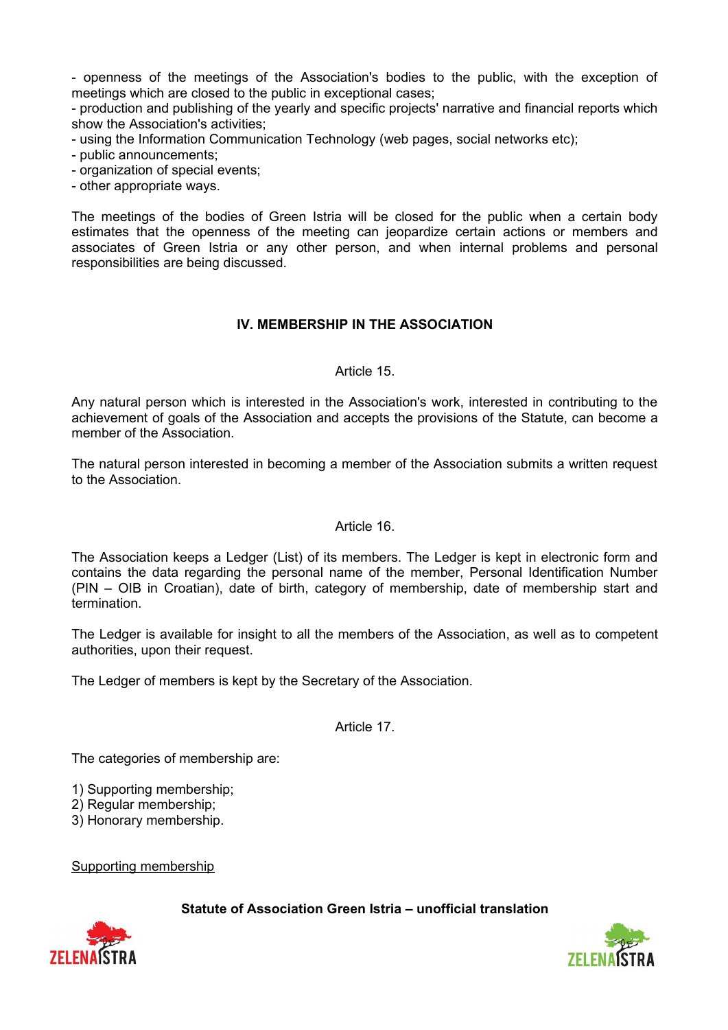- openness of the meetings of the Association's bodies to the public, with the exception of meetings which are closed to the public in exceptional cases;

- production and publishing of the yearly and specific projects' narrative and financial reports which show the Association's activities;

- using the Information Communication Technology (web pages, social networks etc);

- public announcements;

- organization of special events;

- other appropriate ways.

The meetings of the bodies of Green Istria will be closed for the public when a certain body estimates that the openness of the meeting can jeopardize certain actions or members and associates of Green Istria or any other person, and when internal problems and personal responsibilities are being discussed.

## **IV. MEMBERSHIP IN THE ASSOCIATION**

#### Article 15.

Any natural person which is interested in the Association's work, interested in contributing to the achievement of goals of the Association and accepts the provisions of the Statute, can become a member of the Association.

The natural person interested in becoming a member of the Association submits a written request to the Association.

### Article 16.

The Association keeps a Ledger (List) of its members. The Ledger is kept in electronic form and contains the data regarding the personal name of the member, Personal Identification Number (PIN – OIB in Croatian), date of birth, category of membership, date of membership start and termination.

The Ledger is available for insight to all the members of the Association, as well as to competent authorities, upon their request.

The Ledger of members is kept by the Secretary of the Association.

Article 17.

The categories of membership are:

1) Supporting membership;

2) Regular membership;

3) Honorary membership.

Supporting membership



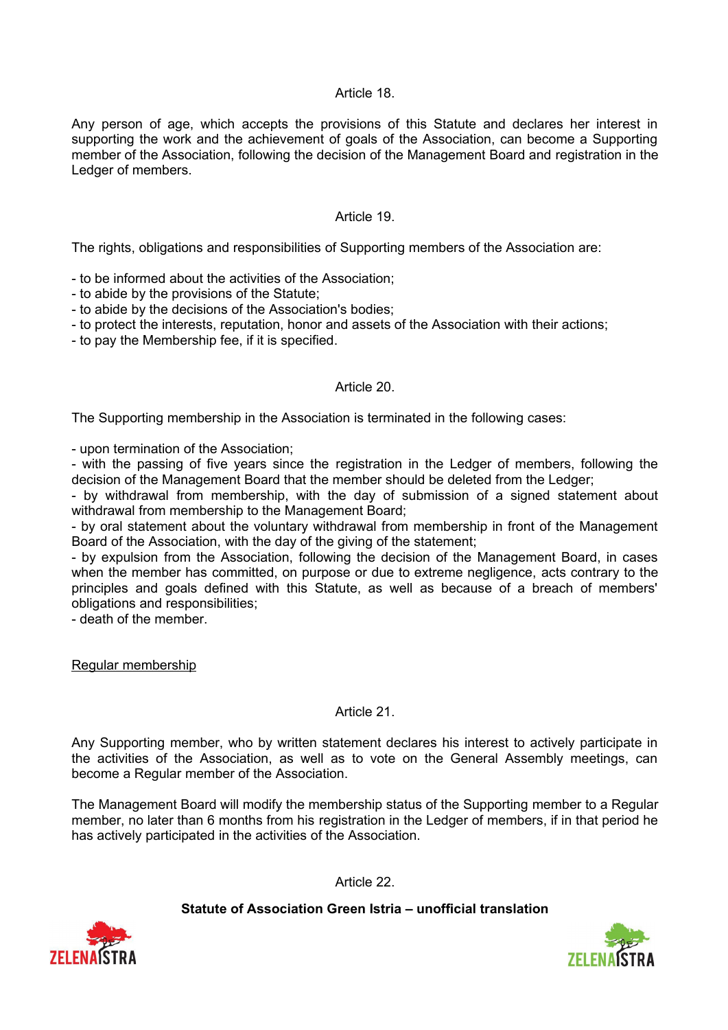## Article 18.

Any person of age, which accepts the provisions of this Statute and declares her interest in supporting the work and the achievement of goals of the Association, can become a Supporting member of the Association, following the decision of the Management Board and registration in the Ledger of members.

### Article 19.

The rights, obligations and responsibilities of Supporting members of the Association are:

- to be informed about the activities of the Association;

- to abide by the provisions of the Statute;
- to abide by the decisions of the Association's bodies;
- to protect the interests, reputation, honor and assets of the Association with their actions;
- to pay the Membership fee, if it is specified.

#### Article 20.

The Supporting membership in the Association is terminated in the following cases:

- upon termination of the Association;

- with the passing of five years since the registration in the Ledger of members, following the decision of the Management Board that the member should be deleted from the Ledger;

- by withdrawal from membership, with the day of submission of a signed statement about withdrawal from membership to the Management Board;

- by oral statement about the voluntary withdrawal from membership in front of the Management Board of the Association, with the day of the giving of the statement;

- by expulsion from the Association, following the decision of the Management Board, in cases when the member has committed, on purpose or due to extreme negligence, acts contrary to the principles and goals defined with this Statute, as well as because of a breach of members' obligations and responsibilities;

- death of the member.

Regular membership

#### Article 21.

Any Supporting member, who by written statement declares his interest to actively participate in the activities of the Association, as well as to vote on the General Assembly meetings, can become a Regular member of the Association.

The Management Board will modify the membership status of the Supporting member to a Regular member, no later than 6 months from his registration in the Ledger of members, if in that period he has actively participated in the activities of the Association.

Article 22.



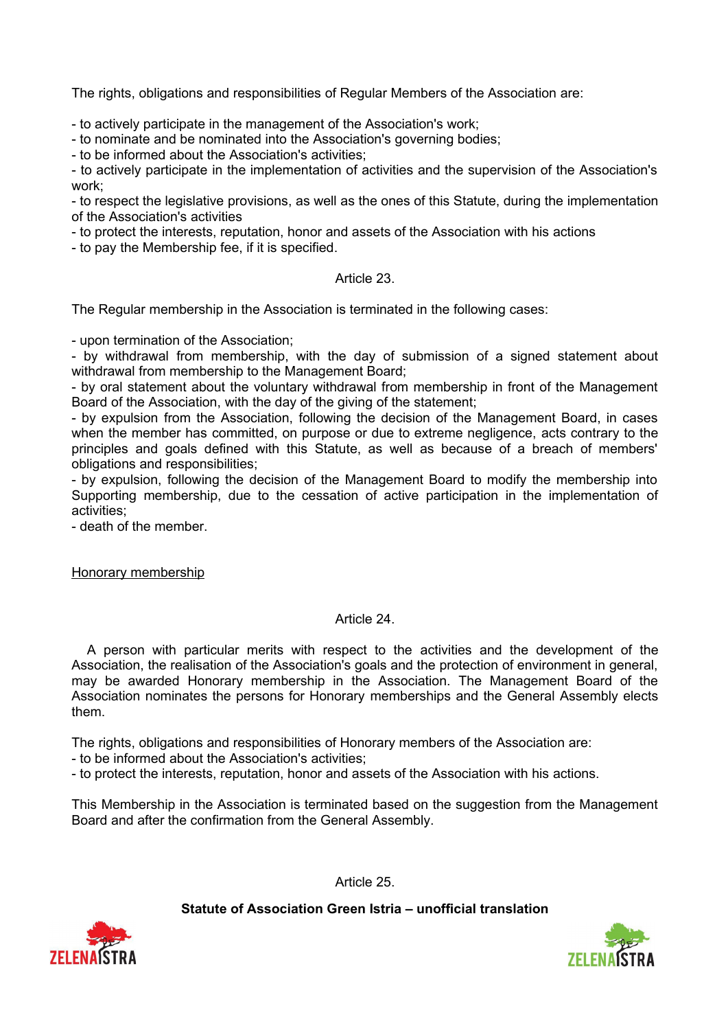The rights, obligations and responsibilities of Regular Members of the Association are:

- to actively participate in the management of the Association's work;

- to nominate and be nominated into the Association's governing bodies;

- to be informed about the Association's activities;

- to actively participate in the implementation of activities and the supervision of the Association's work;

- to respect the legislative provisions, as well as the ones of this Statute, during the implementation of the Association's activities

- to protect the interests, reputation, honor and assets of the Association with his actions

- to pay the Membership fee, if it is specified.

### Article 23.

The Regular membership in the Association is terminated in the following cases:

- upon termination of the Association;

- by withdrawal from membership, with the day of submission of a signed statement about withdrawal from membership to the Management Board;

- by oral statement about the voluntary withdrawal from membership in front of the Management Board of the Association, with the day of the giving of the statement;

- by expulsion from the Association, following the decision of the Management Board, in cases when the member has committed, on purpose or due to extreme negligence, acts contrary to the principles and goals defined with this Statute, as well as because of a breach of members' obligations and responsibilities;

- by expulsion, following the decision of the Management Board to modify the membership into Supporting membership, due to the cessation of active participation in the implementation of activities;

- death of the member.

Honorary membership

### Article 24.

 A person with particular merits with respect to the activities and the development of the Association, the realisation of the Association's goals and the protection of environment in general, may be awarded Honorary membership in the Association. The Management Board of the Association nominates the persons for Honorary memberships and the General Assembly elects them.

The rights, obligations and responsibilities of Honorary members of the Association are:

- to be informed about the Association's activities;

- to protect the interests, reputation, honor and assets of the Association with his actions.

This Membership in the Association is terminated based on the suggestion from the Management Board and after the confirmation from the General Assembly.

Article 25.



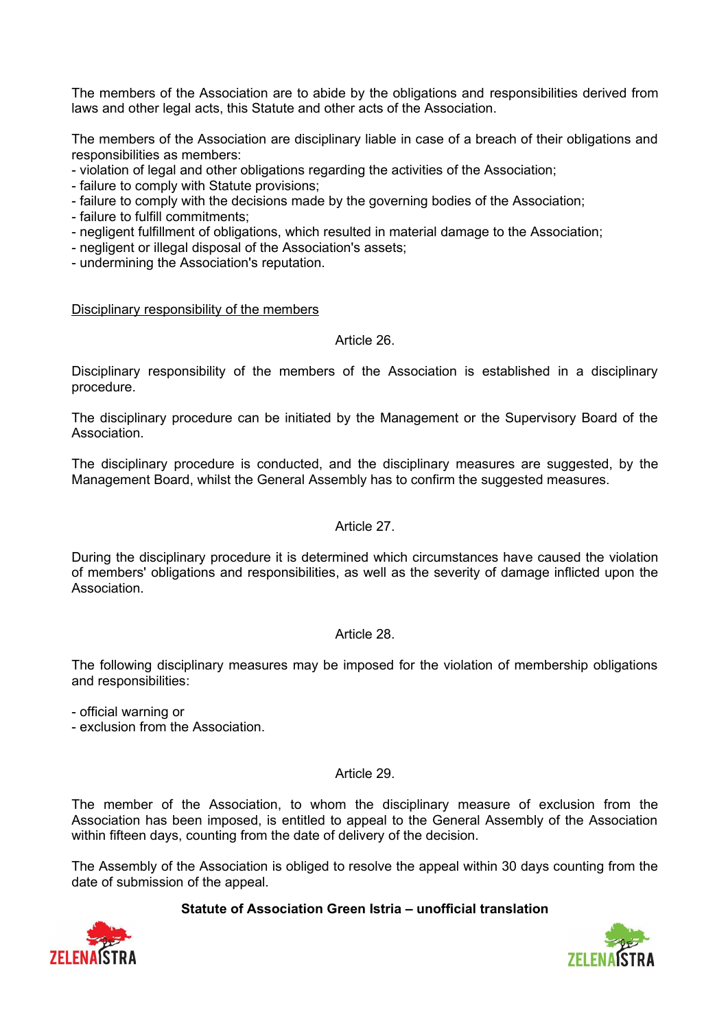The members of the Association are to abide by the obligations and responsibilities derived from laws and other legal acts, this Statute and other acts of the Association.

The members of the Association are disciplinary liable in case of a breach of their obligations and responsibilities as members:

- violation of legal and other obligations regarding the activities of the Association;

- failure to comply with Statute provisions;
- failure to comply with the decisions made by the governing bodies of the Association;
- failure to fulfill commitments;
- negligent fulfillment of obligations, which resulted in material damage to the Association;
- negligent or illegal disposal of the Association's assets;

- undermining the Association's reputation.

### Disciplinary responsibility of the members

### Article 26.

Disciplinary responsibility of the members of the Association is established in a disciplinary procedure.

The disciplinary procedure can be initiated by the Management or the Supervisory Board of the Association.

The disciplinary procedure is conducted, and the disciplinary measures are suggested, by the Management Board, whilst the General Assembly has to confirm the suggested measures.

### Article 27.

During the disciplinary procedure it is determined which circumstances have caused the violation of members' obligations and responsibilities, as well as the severity of damage inflicted upon the **Association** 

### Article 28.

The following disciplinary measures may be imposed for the violation of membership obligations and responsibilities:

- official warning or

- exclusion from the Association.

### Article 29.

The member of the Association, to whom the disciplinary measure of exclusion from the Association has been imposed, is entitled to appeal to the General Assembly of the Association within fifteen days, counting from the date of delivery of the decision.

The Assembly of the Association is obliged to resolve the appeal within 30 days counting from the date of submission of the appeal.



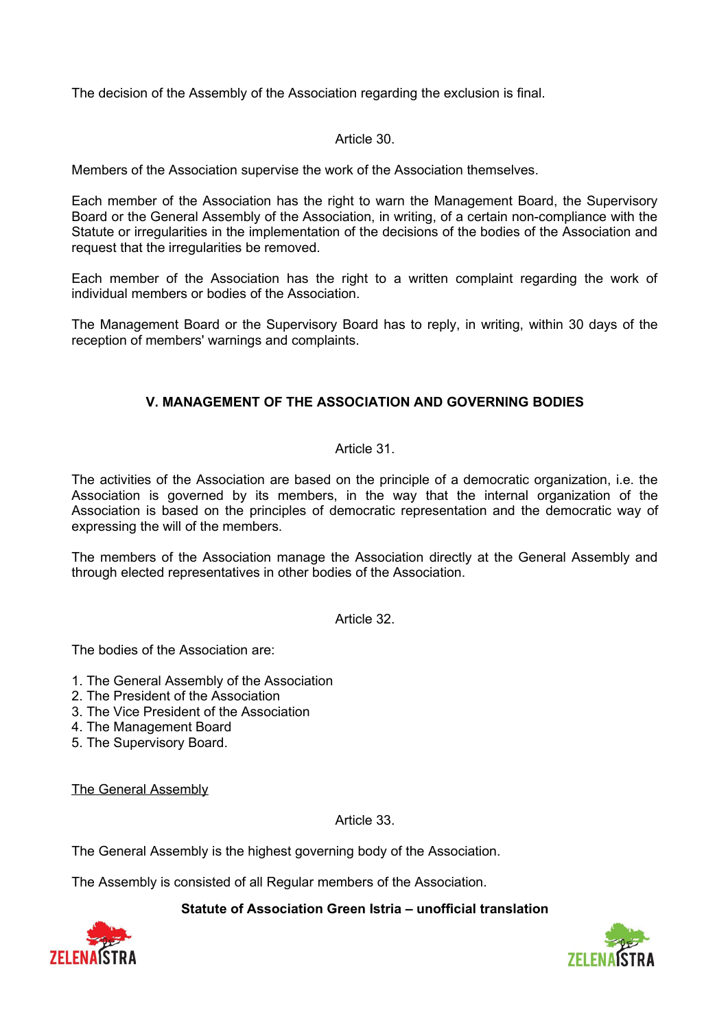The decision of the Assembly of the Association regarding the exclusion is final.

### Article 30.

Members of the Association supervise the work of the Association themselves.

Each member of the Association has the right to warn the Management Board, the Supervisory Board or the General Assembly of the Association, in writing, of a certain non-compliance with the Statute or irregularities in the implementation of the decisions of the bodies of the Association and request that the irregularities be removed.

Each member of the Association has the right to a written complaint regarding the work of individual members or bodies of the Association.

The Management Board or the Supervisory Board has to reply, in writing, within 30 days of the reception of members' warnings and complaints.

# **V. MANAGEMENT OF THE ASSOCIATION AND GOVERNING BODIES**

## Article 31.

The activities of the Association are based on the principle of a democratic organization, i.e. the Association is governed by its members, in the way that the internal organization of the Association is based on the principles of democratic representation and the democratic way of expressing the will of the members.

The members of the Association manage the Association directly at the General Assembly and through elected representatives in other bodies of the Association.

Article 32.

The bodies of the Association are:

1. The General Assembly of the Association

- 2. The President of the Association
- 3. The Vice President of the Association
- 4. The Management Board
- 5. The Supervisory Board.

The General Assembly

Article 33.

The General Assembly is the highest governing body of the Association.

The Assembly is consisted of all Regular members of the Association.



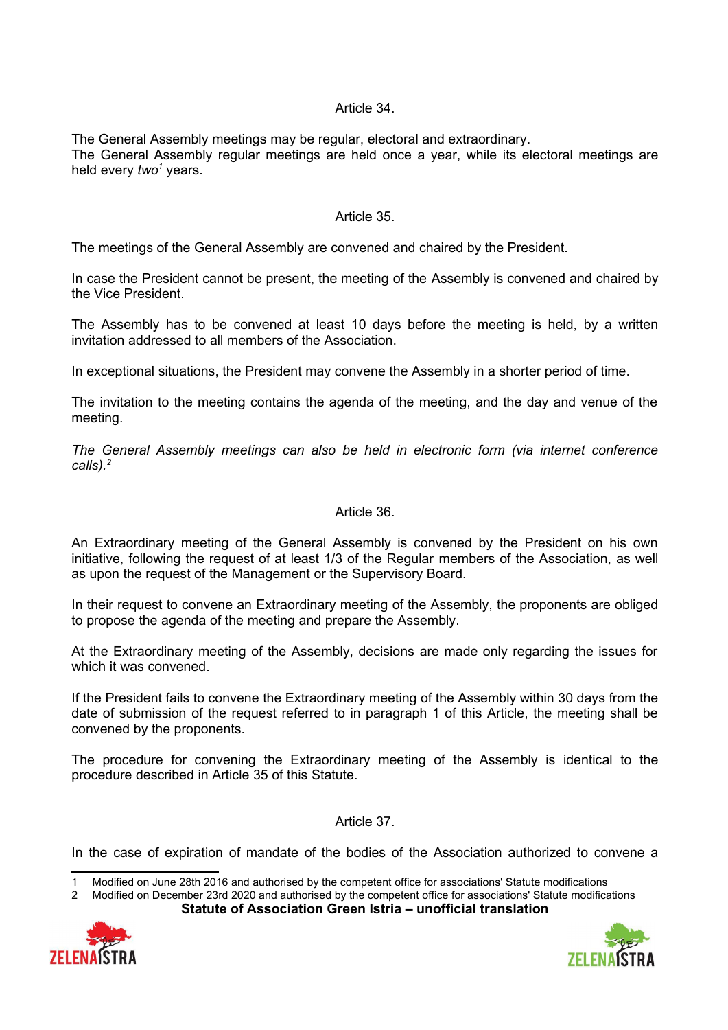### Article 34.

The General Assembly meetings may be regular, electoral and extraordinary. The General Assembly regular meetings are held once a year, while its electoral meetings are held every *two*<sup>[1](#page-9-0)</sup> years.

### Article 35.

The meetings of the General Assembly are convened and chaired by the President.

In case the President cannot be present, the meeting of the Assembly is convened and chaired by the Vice President.

The Assembly has to be convened at least 10 days before the meeting is held, by a written invitation addressed to all members of the Association.

In exceptional situations, the President may convene the Assembly in a shorter period of time.

The invitation to the meeting contains the agenda of the meeting, and the day and venue of the meeting.

*The General Assembly meetings can also be held in electronic form (via internet conference calls).[2](#page-9-1)*

### Article 36.

An Extraordinary meeting of the General Assembly is convened by the President on his own initiative, following the request of at least 1/3 of the Regular members of the Association, as well as upon the request of the Management or the Supervisory Board.

In their request to convene an Extraordinary meeting of the Assembly, the proponents are obliged to propose the agenda of the meeting and prepare the Assembly.

At the Extraordinary meeting of the Assembly, decisions are made only regarding the issues for which it was convened.

If the President fails to convene the Extraordinary meeting of the Assembly within 30 days from the date of submission of the request referred to in paragraph 1 of this Article, the meeting shall be convened by the proponents.

The procedure for convening the Extraordinary meeting of the Assembly is identical to the procedure described in Article 35 of this Statute.

Article 37.

In the case of expiration of mandate of the bodies of the Association authorized to convene a





<span id="page-9-0"></span><sup>1</sup> Modified on June 28th 2016 and authorised by the competent office for associations' Statute modifications

<span id="page-9-1"></span><sup>2</sup> Modified on December 23rd 2020 and authorised by the competent office for associations' Statute modifications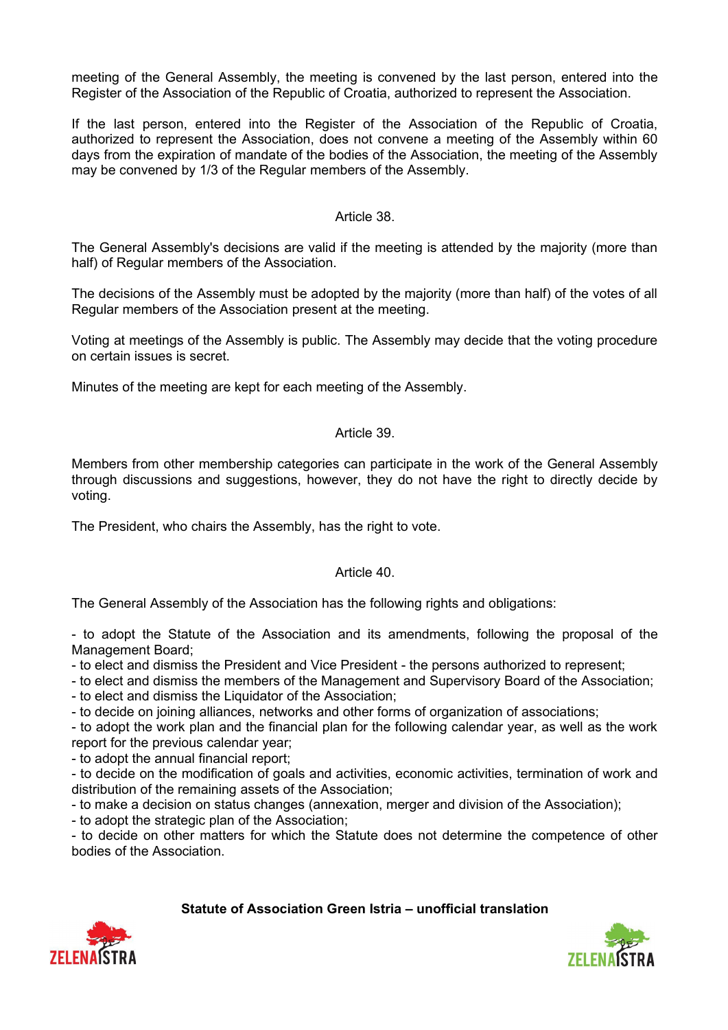meeting of the General Assembly, the meeting is convened by the last person, entered into the Register of the Association of the Republic of Croatia, authorized to represent the Association.

If the last person, entered into the Register of the Association of the Republic of Croatia, authorized to represent the Association, does not convene a meeting of the Assembly within 60 days from the expiration of mandate of the bodies of the Association, the meeting of the Assembly may be convened by 1/3 of the Regular members of the Assembly.

### Article 38.

The General Assembly's decisions are valid if the meeting is attended by the majority (more than half) of Regular members of the Association.

The decisions of the Assembly must be adopted by the majority (more than half) of the votes of all Regular members of the Association present at the meeting.

Voting at meetings of the Assembly is public. The Assembly may decide that the voting procedure on certain issues is secret.

Minutes of the meeting are kept for each meeting of the Assembly.

#### Article 39.

Members from other membership categories can participate in the work of the General Assembly through discussions and suggestions, however, they do not have the right to directly decide by voting.

The President, who chairs the Assembly, has the right to vote.

### Article 40.

The General Assembly of the Association has the following rights and obligations:

- to adopt the Statute of the Association and its amendments, following the proposal of the Management Board;

- to elect and dismiss the President and Vice President - the persons authorized to represent;

- to elect and dismiss the members of the Management and Supervisory Board of the Association;

- to elect and dismiss the Liquidator of the Association;

- to decide on joining alliances, networks and other forms of organization of associations;

- to adopt the work plan and the financial plan for the following calendar year, as well as the work report for the previous calendar year;

- to adopt the annual financial report;

- to decide on the modification of goals and activities, economic activities, termination of work and distribution of the remaining assets of the Association;

- to make a decision on status changes (annexation, merger and division of the Association);

- to adopt the strategic plan of the Association;

- to decide on other matters for which the Statute does not determine the competence of other bodies of the Association.



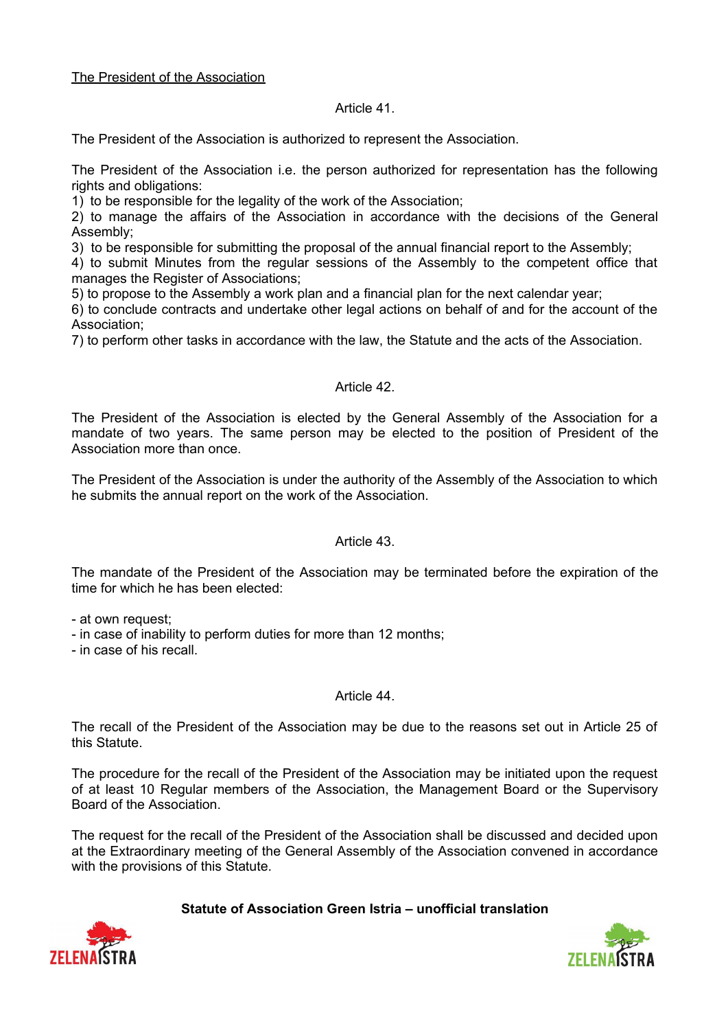### The President of the Association

#### Article 41.

The President of the Association is authorized to represent the Association.

The President of the Association i.e. the person authorized for representation has the following rights and obligations:

1) to be responsible for the legality of the work of the Association;

2) to manage the affairs of the Association in accordance with the decisions of the General Assembly;

3) to be responsible for submitting the proposal of the annual financial report to the Assembly;

4) to submit Minutes from the regular sessions of the Assembly to the competent office that manages the Register of Associations;

5) to propose to the Assembly a work plan and a financial plan for the next calendar year;

6) to conclude contracts and undertake other legal actions on behalf of and for the account of the Association;

7) to perform other tasks in accordance with the law, the Statute and the acts of the Association.

#### Article 42.

The President of the Association is elected by the General Assembly of the Association for a mandate of two years. The same person may be elected to the position of President of the Association more than once.

The President of the Association is under the authority of the Assembly of the Association to which he submits the annual report on the work of the Association.

### Article 43.

The mandate of the President of the Association may be terminated before the expiration of the time for which he has been elected:

- at own request;

- in case of inability to perform duties for more than 12 months;

- in case of his recall.

### Article 44.

The recall of the President of the Association may be due to the reasons set out in Article 25 of this Statute.

The procedure for the recall of the President of the Association may be initiated upon the request of at least 10 Regular members of the Association, the Management Board or the Supervisory Board of the Association.

The request for the recall of the President of the Association shall be discussed and decided upon at the Extraordinary meeting of the General Assembly of the Association convened in accordance with the provisions of this Statute.



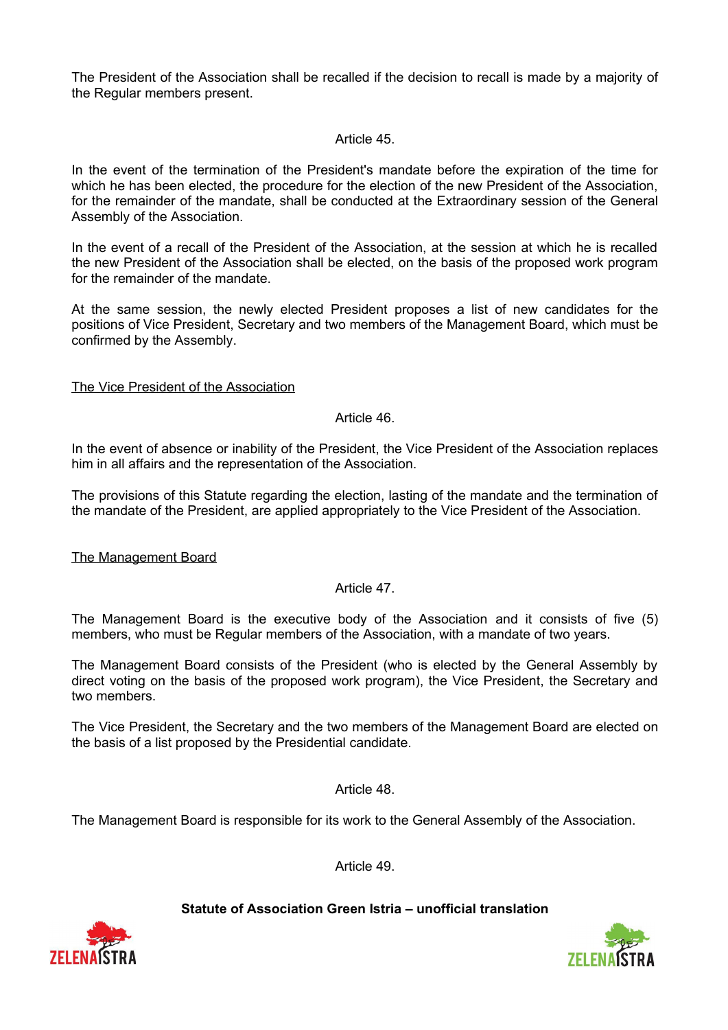The President of the Association shall be recalled if the decision to recall is made by a majority of the Regular members present.

### Article 45.

In the event of the termination of the President's mandate before the expiration of the time for which he has been elected, the procedure for the election of the new President of the Association, for the remainder of the mandate, shall be conducted at the Extraordinary session of the General Assembly of the Association.

In the event of a recall of the President of the Association, at the session at which he is recalled the new President of the Association shall be elected, on the basis of the proposed work program for the remainder of the mandate.

At the same session, the newly elected President proposes a list of new candidates for the positions of Vice President, Secretary and two members of the Management Board, which must be confirmed by the Assembly.

#### The Vice President of the Association

## Article 46.

In the event of absence or inability of the President, the Vice President of the Association replaces him in all affairs and the representation of the Association.

The provisions of this Statute regarding the election, lasting of the mandate and the termination of the mandate of the President, are applied appropriately to the Vice President of the Association.

#### The Management Board

Article 47.

The Management Board is the executive body of the Association and it consists of five (5) members, who must be Regular members of the Association, with a mandate of two years.

The Management Board consists of the President (who is elected by the General Assembly by direct voting on the basis of the proposed work program), the Vice President, the Secretary and two members.

The Vice President, the Secretary and the two members of the Management Board are elected on the basis of a list proposed by the Presidential candidate.

Article 48.

The Management Board is responsible for its work to the General Assembly of the Association.

Article 49.



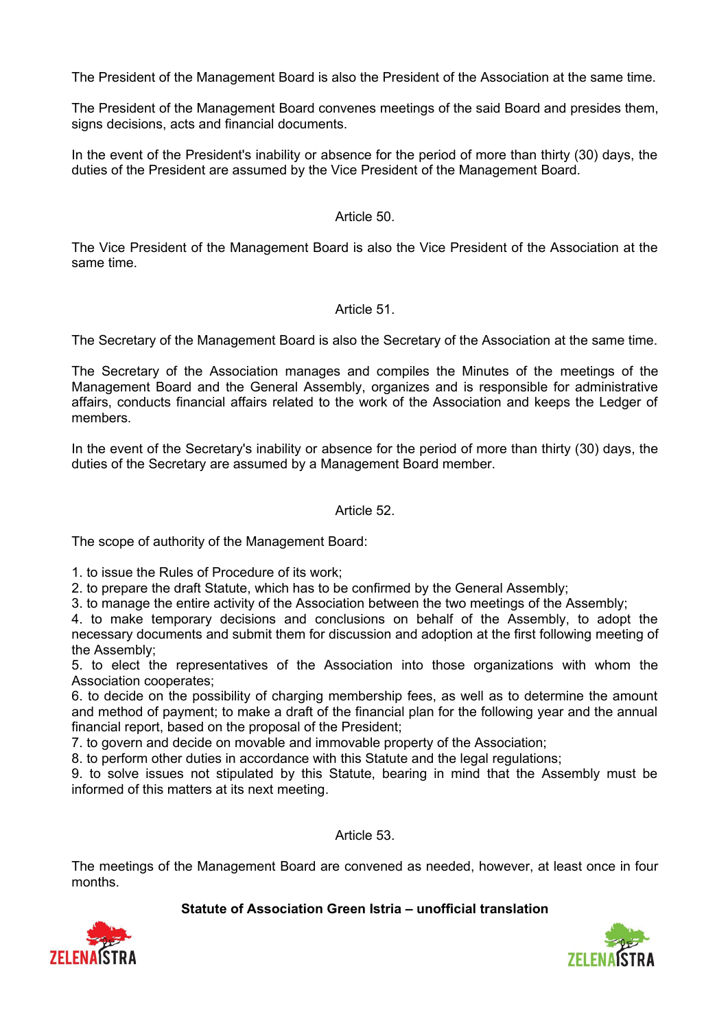The President of the Management Board is also the President of the Association at the same time.

The President of the Management Board convenes meetings of the said Board and presides them, signs decisions, acts and financial documents.

In the event of the President's inability or absence for the period of more than thirty (30) days, the duties of the President are assumed by the Vice President of the Management Board.

### Article 50.

The Vice President of the Management Board is also the Vice President of the Association at the same time.

#### Article 51.

The Secretary of the Management Board is also the Secretary of the Association at the same time.

The Secretary of the Association manages and compiles the Minutes of the meetings of the Management Board and the General Assembly, organizes and is responsible for administrative affairs, conducts financial affairs related to the work of the Association and keeps the Ledger of members.

In the event of the Secretary's inability or absence for the period of more than thirty (30) days, the duties of the Secretary are assumed by a Management Board member.

#### Article 52.

The scope of authority of the Management Board:

1. to issue the Rules of Procedure of its work;

2. to prepare the draft Statute, which has to be confirmed by the General Assembly;

3. to manage the entire activity of the Association between the two meetings of the Assembly;

4. to make temporary decisions and conclusions on behalf of the Assembly, to adopt the necessary documents and submit them for discussion and adoption at the first following meeting of the Assembly;

5. to elect the representatives of the Association into those organizations with whom the Association cooperates;

6. to decide on the possibility of charging membership fees, as well as to determine the amount and method of payment; to make a draft of the financial plan for the following year and the annual financial report, based on the proposal of the President;

7. to govern and decide on movable and immovable property of the Association;

8. to perform other duties in accordance with this Statute and the legal regulations;

9. to solve issues not stipulated by this Statute, bearing in mind that the Assembly must be informed of this matters at its next meeting.

Article 53.

The meetings of the Management Board are convened as needed, however, at least once in four months.



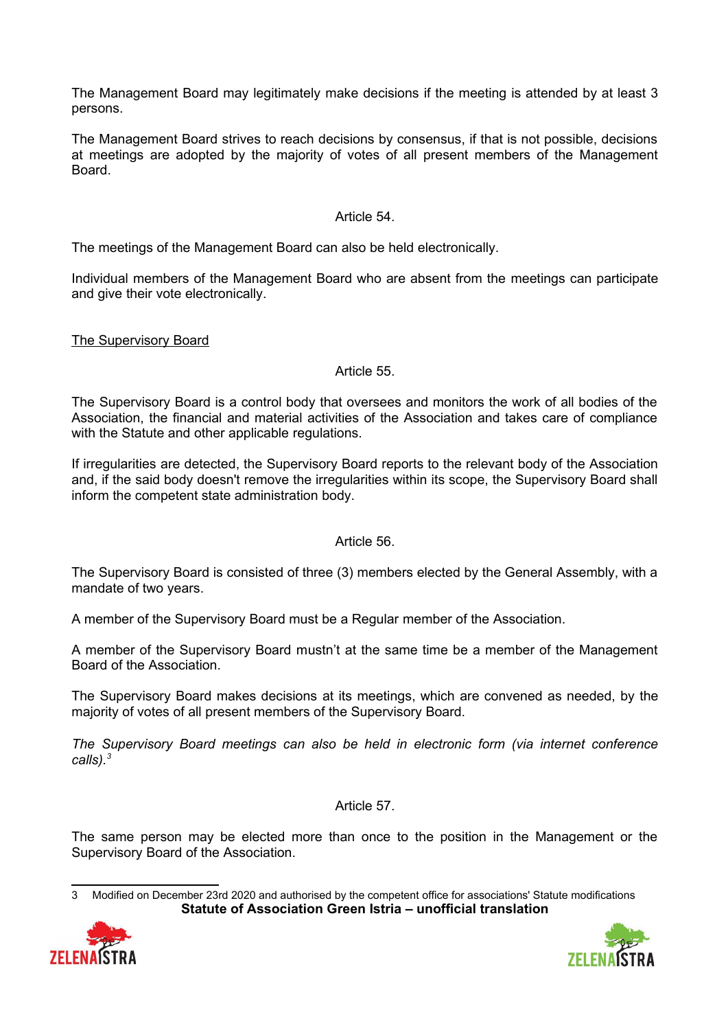The Management Board may legitimately make decisions if the meeting is attended by at least 3 persons.

The Management Board strives to reach decisions by consensus, if that is not possible, decisions at meetings are adopted by the majority of votes of all present members of the Management Board.

### Article 54.

The meetings of the Management Board can also be held electronically.

Individual members of the Management Board who are absent from the meetings can participate and give their vote electronically.

### The Supervisory Board

### Article 55.

The Supervisory Board is a control body that oversees and monitors the work of all bodies of the Association, the financial and material activities of the Association and takes care of compliance with the Statute and other applicable regulations.

If irregularities are detected, the Supervisory Board reports to the relevant body of the Association and, if the said body doesn't remove the irregularities within its scope, the Supervisory Board shall inform the competent state administration body.

### Article 56.

The Supervisory Board is consisted of three (3) members elected by the General Assembly, with a mandate of two years.

A member of the Supervisory Board must be a Regular member of the Association.

A member of the Supervisory Board mustn't at the same time be a member of the Management Board of the Association.

The Supervisory Board makes decisions at its meetings, which are convened as needed, by the majority of votes of all present members of the Supervisory Board.

*The Supervisory Board meetings can also be held in electronic form (via internet conference calls).[3](#page-14-0)*

Article 57.

The same person may be elected more than once to the position in the Management or the Supervisory Board of the Association.

<span id="page-14-0"></span><sup>3</sup> Modified on December 23rd 2020 and authorised by the competent office for associations' Statute modifications **Statute of Association Green Istria – unofficial translation**



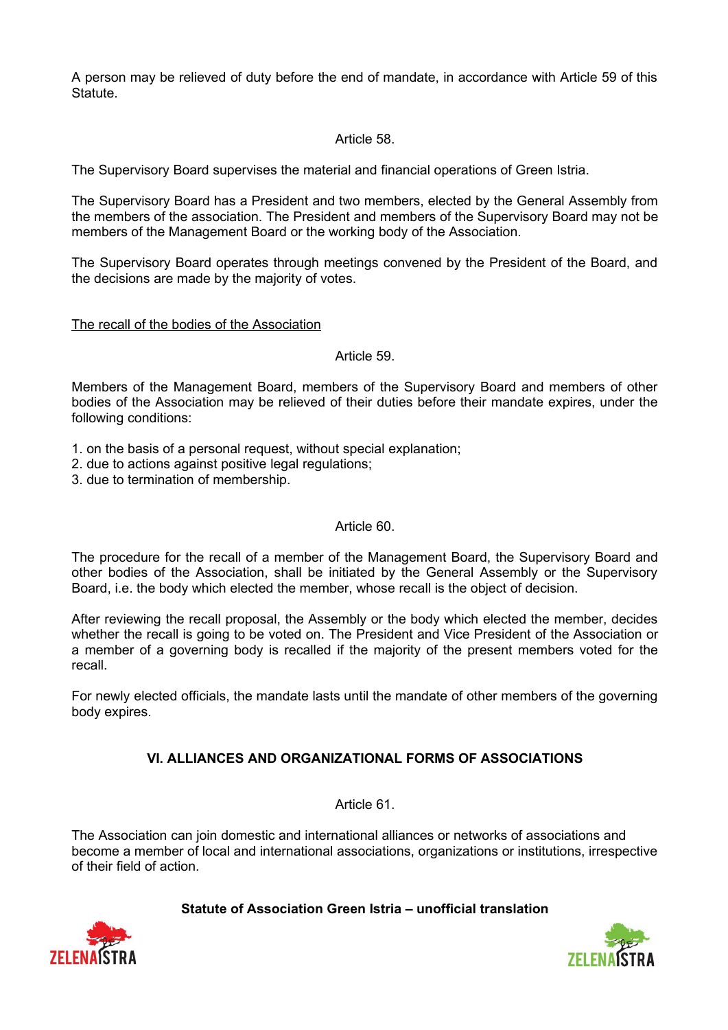A person may be relieved of duty before the end of mandate, in accordance with Article 59 of this Statute.

## Article 58.

The Supervisory Board supervises the material and financial operations of Green Istria.

The Supervisory Board has a President and two members, elected by the General Assembly from the members of the association. The President and members of the Supervisory Board may not be members of the Management Board or the working body of the Association.

The Supervisory Board operates through meetings convened by the President of the Board, and the decisions are made by the majority of votes.

### The recall of the bodies of the Association

### Article 59.

Members of the Management Board, members of the Supervisory Board and members of other bodies of the Association may be relieved of their duties before their mandate expires, under the following conditions:

- 1. on the basis of a personal request, without special explanation;
- 2. due to actions against positive legal regulations;
- 3. due to termination of membership.

### Article 60.

The procedure for the recall of a member of the Management Board, the Supervisory Board and other bodies of the Association, shall be initiated by the General Assembly or the Supervisory Board, i.e. the body which elected the member, whose recall is the object of decision.

After reviewing the recall proposal, the Assembly or the body which elected the member, decides whether the recall is going to be voted on. The President and Vice President of the Association or a member of a governing body is recalled if the majority of the present members voted for the recall.

For newly elected officials, the mandate lasts until the mandate of other members of the governing body expires.

# **VI. ALLIANCES AND ORGANIZATIONAL FORMS OF ASSOCIATIONS**

Article 61.

The Association can join domestic and international alliances or networks of associations and become a member of local and international associations, organizations or institutions, irrespective of their field of action.



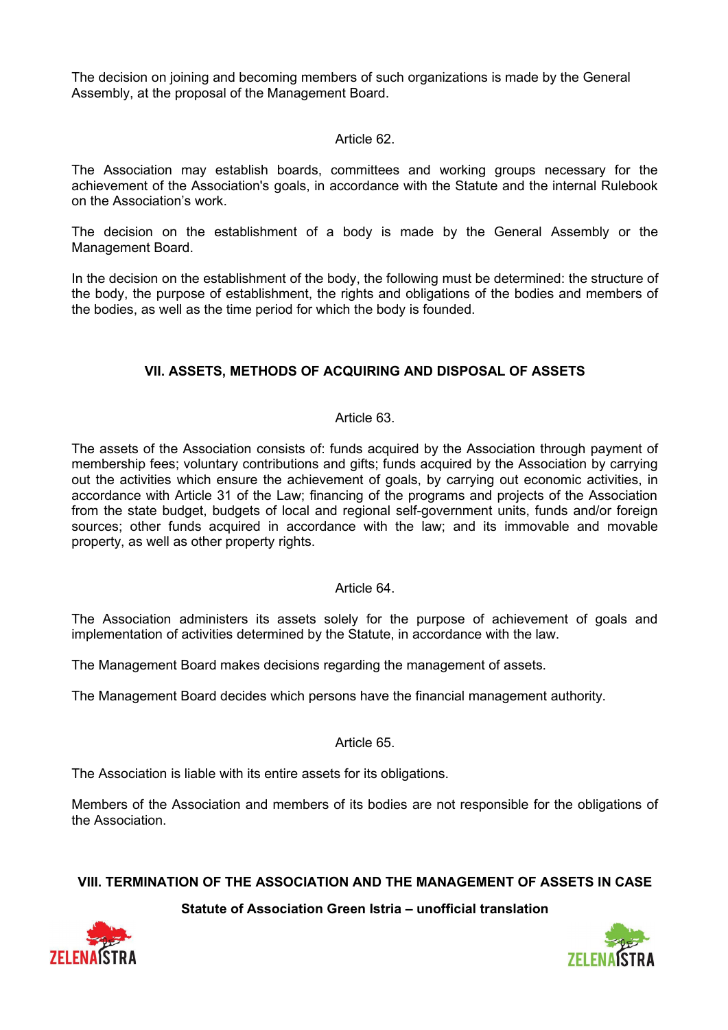The decision on joining and becoming members of such organizations is made by the General Assembly, at the proposal of the Management Board.

### Article 62.

The Association may establish boards, committees and working groups necessary for the achievement of the Association's goals, in accordance with the Statute and the internal Rulebook on the Association's work.

The decision on the establishment of a body is made by the General Assembly or the Management Board.

In the decision on the establishment of the body, the following must be determined: the structure of the body, the purpose of establishment, the rights and obligations of the bodies and members of the bodies, as well as the time period for which the body is founded.

# **VII. ASSETS, METHODS OF ACQUIRING AND DISPOSAL OF ASSETS**

### Article 63.

The assets of the Association consists of: funds acquired by the Association through payment of membership fees; voluntary contributions and gifts; funds acquired by the Association by carrying out the activities which ensure the achievement of goals, by carrying out economic activities, in accordance with Article 31 of the Law; financing of the programs and projects of the Association from the state budget, budgets of local and regional self-government units, funds and/or foreign sources; other funds acquired in accordance with the law; and its immovable and movable property, as well as other property rights.

### Article 64.

The Association administers its assets solely for the purpose of achievement of goals and implementation of activities determined by the Statute, in accordance with the law.

The Management Board makes decisions regarding the management of assets.

The Management Board decides which persons have the financial management authority.

### Article 65.

The Association is liable with its entire assets for its obligations.

Members of the Association and members of its bodies are not responsible for the obligations of the Association.

### **VIII. TERMINATION OF THE ASSOCIATION AND THE MANAGEMENT OF ASSETS IN CASE**



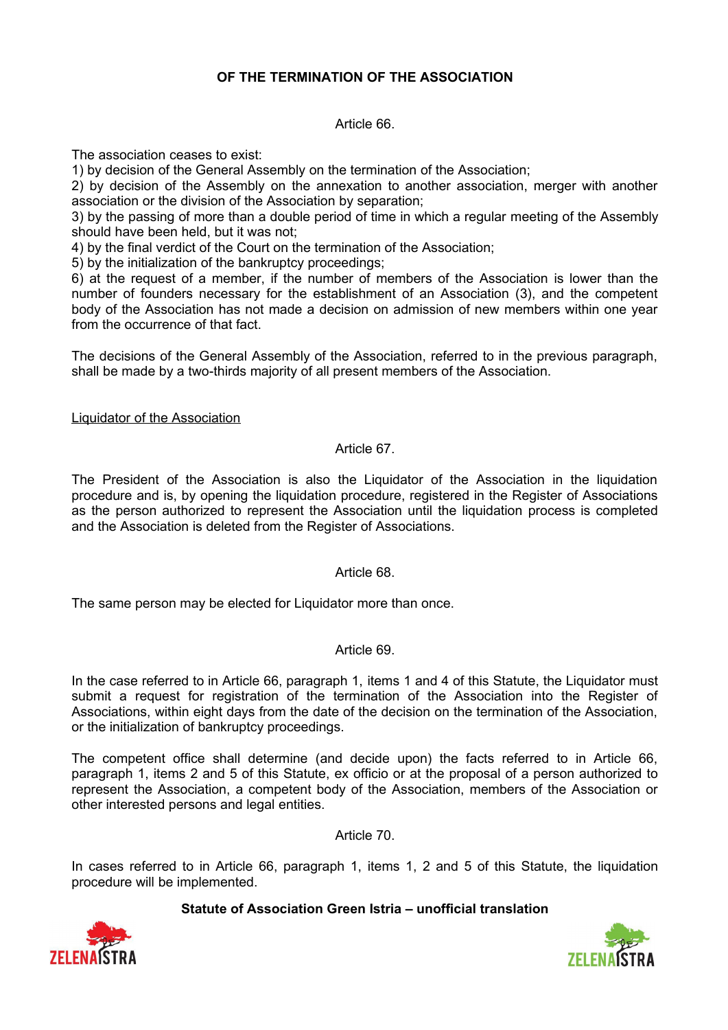# **OF THE TERMINATION OF THE ASSOCIATION**

Article 66.

The association ceases to exist:

1) by decision of the General Assembly on the termination of the Association;

2) by decision of the Assembly on the annexation to another association, merger with another association or the division of the Association by separation;

3) by the passing of more than a double period of time in which a regular meeting of the Assembly should have been held, but it was not;

4) by the final verdict of the Court on the termination of the Association;

5) by the initialization of the bankruptcy proceedings;

6) at the request of a member, if the number of members of the Association is lower than the number of founders necessary for the establishment of an Association (3), and the competent body of the Association has not made a decision on admission of new members within one year from the occurrence of that fact.

The decisions of the General Assembly of the Association, referred to in the previous paragraph, shall be made by a two-thirds majority of all present members of the Association.

Liquidator of the Association

## Article 67.

The President of the Association is also the Liquidator of the Association in the liquidation procedure and is, by opening the liquidation procedure, registered in the Register of Associations as the person authorized to represent the Association until the liquidation process is completed and the Association is deleted from the Register of Associations.

### Article 68.

The same person may be elected for Liquidator more than once.

### Article 69.

In the case referred to in Article 66, paragraph 1, items 1 and 4 of this Statute, the Liquidator must submit a request for registration of the termination of the Association into the Register of Associations, within eight days from the date of the decision on the termination of the Association, or the initialization of bankruptcy proceedings.

The competent office shall determine (and decide upon) the facts referred to in Article 66, paragraph 1, items 2 and 5 of this Statute, ex officio or at the proposal of a person authorized to represent the Association, a competent body of the Association, members of the Association or other interested persons and legal entities.

Article 70.

In cases referred to in Article 66, paragraph 1, items 1, 2 and 5 of this Statute, the liquidation procedure will be implemented.



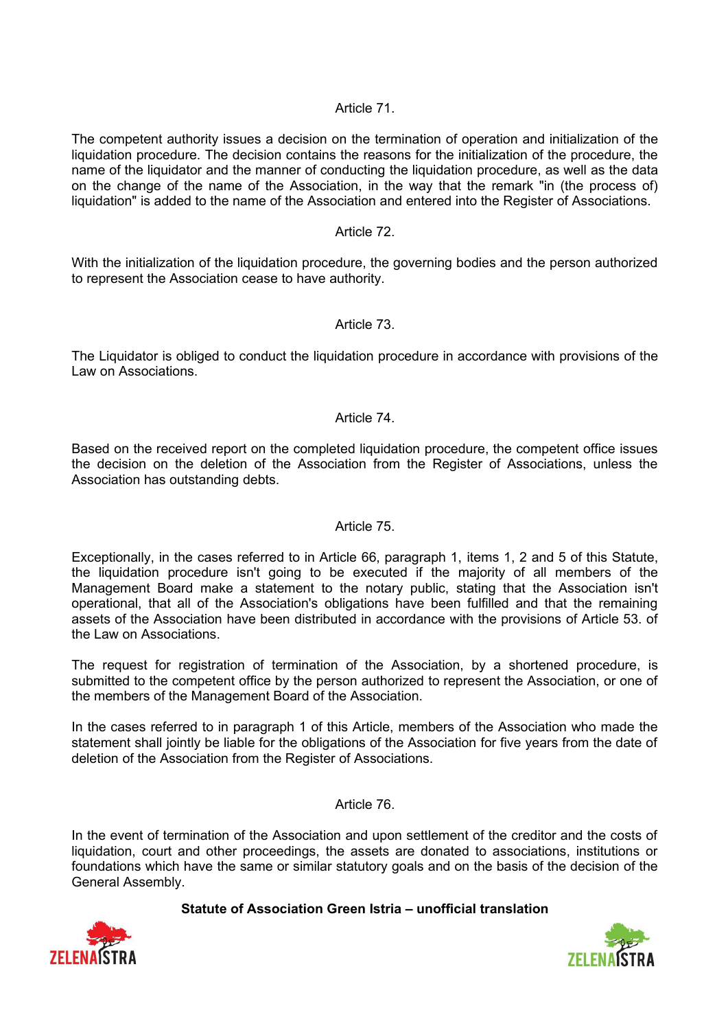### Article 71.

The competent authority issues a decision on the termination of operation and initialization of the liquidation procedure. The decision contains the reasons for the initialization of the procedure, the name of the liquidator and the manner of conducting the liquidation procedure, as well as the data on the change of the name of the Association, in the way that the remark "in (the process of) liquidation" is added to the name of the Association and entered into the Register of Associations.

### Article 72.

With the initialization of the liquidation procedure, the governing bodies and the person authorized to represent the Association cease to have authority.

### Article 73.

The Liquidator is obliged to conduct the liquidation procedure in accordance with provisions of the Law on Associations.

#### Article 74.

Based on the received report on the completed liquidation procedure, the competent office issues the decision on the deletion of the Association from the Register of Associations, unless the Association has outstanding debts.

### Article 75.

Exceptionally, in the cases referred to in Article 66, paragraph 1, items 1, 2 and 5 of this Statute, the liquidation procedure isn't going to be executed if the majority of all members of the Management Board make a statement to the notary public, stating that the Association isn't operational, that all of the Association's obligations have been fulfilled and that the remaining assets of the Association have been distributed in accordance with the provisions of Article 53. of the Law on Associations.

The request for registration of termination of the Association, by a shortened procedure, is submitted to the competent office by the person authorized to represent the Association, or one of the members of the Management Board of the Association.

In the cases referred to in paragraph 1 of this Article, members of the Association who made the statement shall jointly be liable for the obligations of the Association for five years from the date of deletion of the Association from the Register of Associations.

#### Article 76.

In the event of termination of the Association and upon settlement of the creditor and the costs of liquidation, court and other proceedings, the assets are donated to associations, institutions or foundations which have the same or similar statutory goals and on the basis of the decision of the General Assembly.



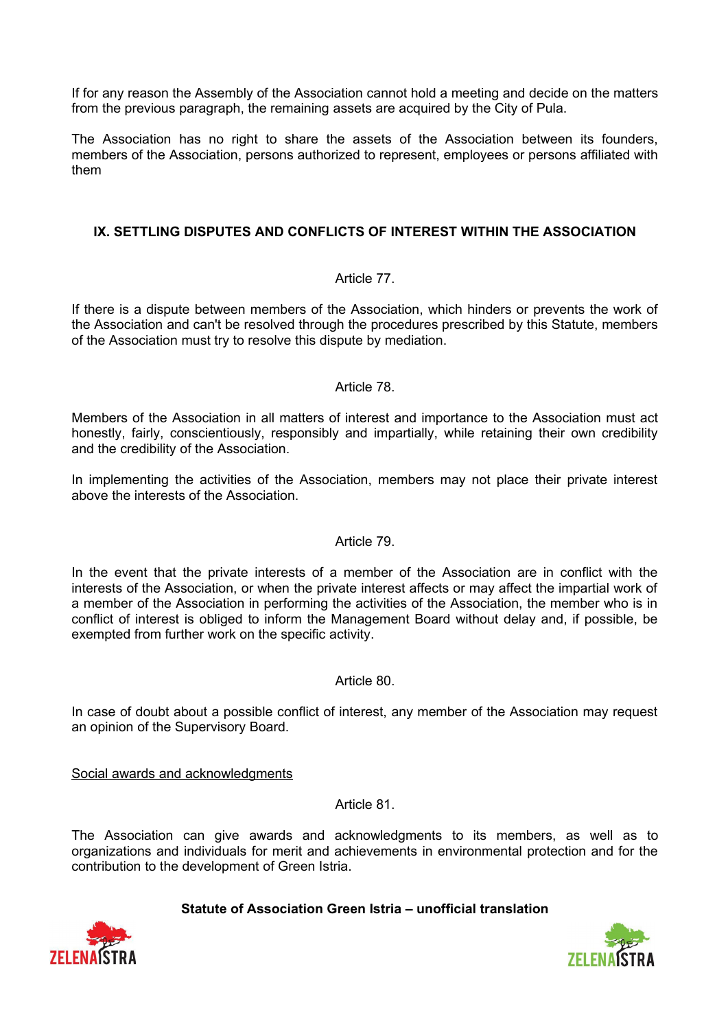If for any reason the Assembly of the Association cannot hold a meeting and decide on the matters from the previous paragraph, the remaining assets are acquired by the City of Pula.

The Association has no right to share the assets of the Association between its founders, members of the Association, persons authorized to represent, employees or persons affiliated with them

## **IX. SETTLING DISPUTES AND CONFLICTS OF INTEREST WITHIN THE ASSOCIATION**

### Article 77.

If there is a dispute between members of the Association, which hinders or prevents the work of the Association and can't be resolved through the procedures prescribed by this Statute, members of the Association must try to resolve this dispute by mediation.

#### Article 78.

Members of the Association in all matters of interest and importance to the Association must act honestly, fairly, conscientiously, responsibly and impartially, while retaining their own credibility and the credibility of the Association.

In implementing the activities of the Association, members may not place their private interest above the interests of the Association.

# Article 79.

In the event that the private interests of a member of the Association are in conflict with the interests of the Association, or when the private interest affects or may affect the impartial work of a member of the Association in performing the activities of the Association, the member who is in conflict of interest is obliged to inform the Management Board without delay and, if possible, be exempted from further work on the specific activity.

#### Article 80.

In case of doubt about a possible conflict of interest, any member of the Association may request an opinion of the Supervisory Board.

Social awards and acknowledgments

Article 81.

The Association can give awards and acknowledgments to its members, as well as to organizations and individuals for merit and achievements in environmental protection and for the contribution to the development of Green Istria.